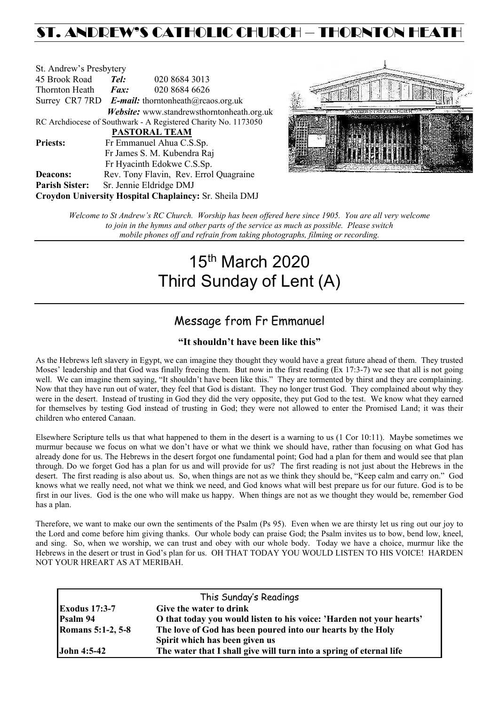## ST. ANDREW'S CATHOLIC CHURCH – THORNTON HEAT

| St. Andrew's Presbytery     |                                                                         |                                                                |  |  |  |
|-----------------------------|-------------------------------------------------------------------------|----------------------------------------------------------------|--|--|--|
| 45 Brook Road               | Tel:                                                                    | 020 8684 3013                                                  |  |  |  |
| Thornton Heath              | $\boldsymbol{Fax:}$                                                     | 020 8684 6626                                                  |  |  |  |
|                             | Surrey CR7 7RD <b>E-mail:</b> thorntonheath $(\partial x)$ reaos.org.uk |                                                                |  |  |  |
|                             |                                                                         | Website: www.standrewsthorntonheath.org.uk                     |  |  |  |
|                             |                                                                         | RC Archdiocese of Southwark - A Registered Charity No. 1173050 |  |  |  |
| <b>PASTORAL TEAM</b>        |                                                                         |                                                                |  |  |  |
| <b>Priests:</b>             |                                                                         | Fr Emmanuel Ahua C.S.Sp.                                       |  |  |  |
| Fr James S. M. Kubendra Raj |                                                                         |                                                                |  |  |  |
|                             |                                                                         | Fr Hyacinth Edokwe C.S.Sp.                                     |  |  |  |
| <b>Deacons:</b>             |                                                                         | Rev. Tony Flavin, Rev. Errol Quagraine                         |  |  |  |
| <b>Parish Sister:</b>       |                                                                         | Sr. Jennie Eldridge DMJ                                        |  |  |  |
|                             |                                                                         | Croydon University Hospital Chaplaincy: Sr. Sheila DMJ         |  |  |  |



*Welcome to St Andrew's RC Church. Worship has been offered here since 1905. You are all very welcome to join in the hymns and other parts of the service as much as possible. Please switch mobile phones off and refrain from taking photographs, filming or recording.*

# 15th March 2020 Third Sunday of Lent (A)

### Message from Fr Emmanuel

### **"It shouldn't have been like this"**

As the Hebrews left slavery in Egypt, we can imagine they thought they would have a great future ahead of them. They trusted Moses' leadership and that God was finally freeing them. But now in the first reading (Ex 17:3-7) we see that all is not going well. We can imagine them saying, "It shouldn't have been like this." They are tormented by thirst and they are complaining. Now that they have run out of water, they feel that God is distant. They no longer trust God. They complained about why they were in the desert. Instead of trusting in God they did the very opposite, they put God to the test. We know what they earned for themselves by testing God instead of trusting in God; they were not allowed to enter the Promised Land; it was their children who entered Canaan.

Elsewhere Scripture tells us that what happened to them in the desert is a warning to us (1 Cor 10:11). Maybe sometimes we murmur because we focus on what we don't have or what we think we should have, rather than focusing on what God has already done for us. The Hebrews in the desert forgot one fundamental point; God had a plan for them and would see that plan through. Do we forget God has a plan for us and will provide for us? The first reading is not just about the Hebrews in the desert. The first reading is also about us. So, when things are not as we think they should be, "Keep calm and carry on." God knows what we really need, not what we think we need, and God knows what will best prepare us for our future. God is to be first in our lives. God is the one who will make us happy. When things are not as we thought they would be, remember God has a plan.

Therefore, we want to make our own the sentiments of the Psalm (Ps 95). Even when we are thirsty let us ring out our joy to the Lord and come before him giving thanks. Our whole body can praise God; the Psalm invites us to bow, bend low, kneel, and sing. So, when we worship, we can trust and obey with our whole body. Today we have a choice, murmur like the Hebrews in the desert or trust in God's plan for us. OH THAT TODAY YOU WOULD LISTEN TO HIS VOICE! HARDEN NOT YOUR HREART AS AT MERIBAH.

| This Sunday's Readings   |                                                                      |  |  |
|--------------------------|----------------------------------------------------------------------|--|--|
| <b>Exodus 17:3-7</b>     | Give the water to drink                                              |  |  |
| Psalm 94                 | O that today you would listen to his voice: 'Harden not your hearts' |  |  |
| <b>Romans 5:1-2, 5-8</b> | The love of God has been poured into our hearts by the Holy          |  |  |
|                          | Spirit which has been given us                                       |  |  |
| <b>John 4:5-42</b>       | The water that I shall give will turn into a spring of eternal life  |  |  |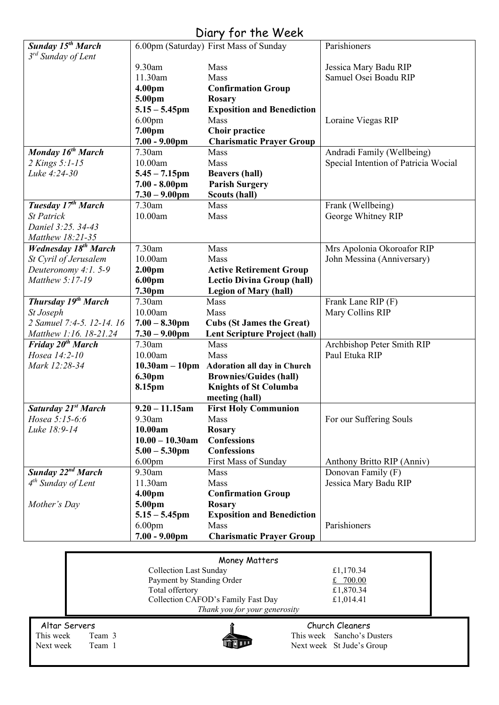### Diary for the Week

|                                                         |                                        | UIUI Y JUI THE WEEN                                      |                                      |  |  |
|---------------------------------------------------------|----------------------------------------|----------------------------------------------------------|--------------------------------------|--|--|
| Sunday 15 <sup>th</sup> March                           |                                        | 6.00pm (Saturday) First Mass of Sunday                   | Parishioners                         |  |  |
| 3 <sup>rd</sup> Sunday of Lent                          |                                        |                                                          |                                      |  |  |
|                                                         | 9.30am                                 | Mass                                                     | Jessica Mary Badu RIP                |  |  |
|                                                         | 11.30am                                | Mass                                                     | Samuel Osei Boadu RIP                |  |  |
|                                                         | 4.00pm                                 | <b>Confirmation Group</b>                                |                                      |  |  |
|                                                         | 5.00pm                                 | <b>Rosary</b>                                            |                                      |  |  |
|                                                         | $5.15 - 5.45$ pm                       | <b>Exposition and Benediction</b>                        |                                      |  |  |
|                                                         | 6.00 <sub>pm</sub><br>7.00pm           | Mass                                                     | Loraine Viegas RIP                   |  |  |
|                                                         | $7.00 - 9.00$ pm                       | <b>Choir practice</b><br><b>Charismatic Prayer Group</b> |                                      |  |  |
| Monday 16 <sup>th</sup> March                           | 7.30am                                 | Mass                                                     | Andradi Family (Wellbeing)           |  |  |
| 2 Kings 5:1-15                                          | 10.00am                                | Mass                                                     | Special Intention of Patricia Wocial |  |  |
| Luke 4:24-30                                            | $5.45 - 7.15$ pm                       | <b>Beavers (hall)</b>                                    |                                      |  |  |
|                                                         | $7.00 - 8.00 \text{pm}$                | <b>Parish Surgery</b>                                    |                                      |  |  |
|                                                         | $7.30 - 9.00$ pm                       | <b>Scouts (hall)</b>                                     |                                      |  |  |
| Tuesday $17^{th}$ March                                 | 7.30am                                 | <b>Mass</b>                                              | Frank (Wellbeing)                    |  |  |
| <b>St Patrick</b>                                       | 10.00am                                | Mass                                                     | George Whitney RIP                   |  |  |
| Daniel 3:25. 34-43                                      |                                        |                                                          |                                      |  |  |
| Matthew 18:21-35                                        |                                        |                                                          |                                      |  |  |
| <b>Wednesday 18th March</b>                             | 7.30am                                 | Mass                                                     | Mrs Apolonia Okoroafor RIP           |  |  |
| St Cyril of Jerusalem                                   | 10.00am                                | Mass                                                     | John Messina (Anniversary)           |  |  |
| Deuteronomy 4:1.5-9                                     | 2.00 <sub>pm</sub>                     | <b>Active Retirement Group</b>                           |                                      |  |  |
| Matthew 5:17-19                                         | 6.00pm                                 | <b>Lectio Divina Group (hall)</b>                        |                                      |  |  |
|                                                         | 7.30pm                                 | <b>Legion of Mary (hall)</b>                             |                                      |  |  |
| <b>Thursday 19th March</b>                              | 7.30am                                 | Mass                                                     | Frank Lane RIP (F)                   |  |  |
| St Joseph                                               | 10.00am                                | Mass                                                     | Mary Collins RIP                     |  |  |
| 2 Samuel 7:4-5. 12-14. 16                               | $7.00 - 8.30$ pm                       | <b>Cubs (St James the Great)</b>                         |                                      |  |  |
| Matthew 1:16. 18-21.24<br>Friday 20 <sup>th</sup> March | $7.30 - 9.00$ pm<br>7.30am             | <b>Lent Scripture Project (hall)</b><br>Mass             | Archbishop Peter Smith RIP           |  |  |
| Hosea 14:2-10                                           | 10.00am                                | Mass                                                     | Paul Etuka RIP                       |  |  |
| Mark 12:28-34                                           |                                        | 10.30am - 10pm Adoration all day in Church               |                                      |  |  |
|                                                         | 6.30pm                                 | <b>Brownies/Guides (hall)</b>                            |                                      |  |  |
|                                                         | 8.15pm                                 | <b>Knights of St Columba</b>                             |                                      |  |  |
|                                                         |                                        | meeting (hall)                                           |                                      |  |  |
| Saturday 21st March                                     | $9.20 - 11.15$ am                      | <b>First Holy Communion</b>                              |                                      |  |  |
| Hosea 5:15-6:6                                          | 9.30am                                 | Mass                                                     | For our Suffering Souls              |  |  |
| Luke 18:9-14                                            | 10.00am                                | <b>Rosary</b>                                            |                                      |  |  |
|                                                         | $10.00 - 10.30$ am                     | <b>Confessions</b>                                       |                                      |  |  |
|                                                         | $5.00 - 5.30$ pm                       | <b>Confessions</b>                                       |                                      |  |  |
|                                                         | 6.00 <sub>pm</sub>                     | First Mass of Sunday                                     | Anthony Britto RIP (Anniv)           |  |  |
| Sunday 22 <sup>nd</sup> March                           | 9.30am                                 | Mass                                                     | Donovan Family (F)                   |  |  |
| $4th$ Sunday of Lent                                    | 11.30am                                | <b>Mass</b>                                              | Jessica Mary Badu RIP                |  |  |
|                                                         | 4.00 <sub>pm</sub>                     | <b>Confirmation Group</b>                                |                                      |  |  |
| Mother's Day                                            | 5.00pm                                 | <b>Rosary</b>                                            |                                      |  |  |
|                                                         | $5.15 - 5.45$ pm<br>6.00 <sub>pm</sub> | <b>Exposition and Benediction</b><br>Mass                | Parishioners                         |  |  |
|                                                         | $7.00 - 9.00$ pm                       | <b>Charismatic Prayer Group</b>                          |                                      |  |  |
|                                                         |                                        |                                                          |                                      |  |  |
|                                                         |                                        | Money Matters                                            |                                      |  |  |
| <b>Collection Last Sunday</b><br>£1,170.34              |                                        |                                                          |                                      |  |  |
|                                                         | Payment by Standing Order              |                                                          | £ $700.00$                           |  |  |
|                                                         | £1,870.34<br>Total offertory           |                                                          |                                      |  |  |
| Collection CAFOD's Family Fast Day<br>£1,014.41         |                                        |                                                          |                                      |  |  |
|                                                         |                                        | Thank you for your generosity                            |                                      |  |  |
|                                                         |                                        |                                                          | sh Classes                           |  |  |



Altar Servers Church Cleaners<br>This week Team 3 This week Sancho's D This week Team 3<br>Next week Team 1<br>This week Sancho's Dusters<br>Next week St Jude's Group Next week St Jude's Group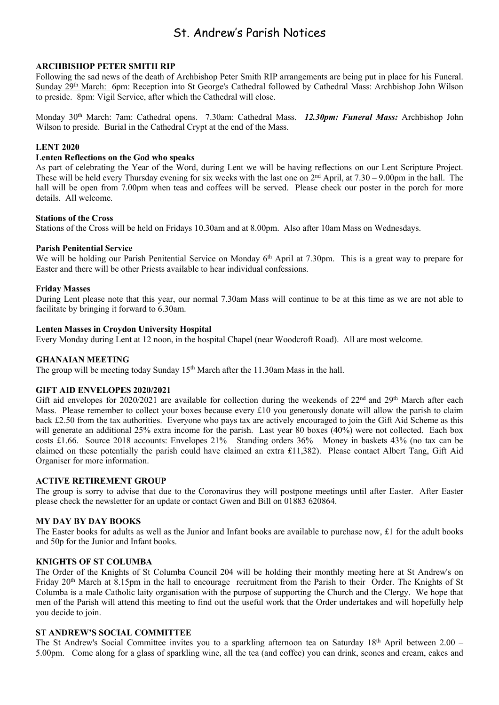### St. Andrew's Parish Notices

#### **ARCHBISHOP PETER SMITH RIP**

Following the sad news of the death of Archbishop Peter Smith RIP arrangements are being put in place for his Funeral. Sunday 29th March: 6pm: Reception into St George's Cathedral followed by Cathedral Mass: Archbishop John Wilson to preside. 8pm: Vigil Service, after which the Cathedral will close.

Monday 30th March: 7am: Cathedral opens. 7.30am: Cathedral Mass. *12.30pm: Funeral Mass:* Archbishop John Wilson to preside. Burial in the Cathedral Crypt at the end of the Mass.

#### **LENT 2020**

#### **Lenten Reflections on the God who speaks**

As part of celebrating the Year of the Word, during Lent we will be having reflections on our Lent Scripture Project. These will be held every Thursday evening for six weeks with the last one on  $2<sup>nd</sup>$  April, at  $7.30 - 9.00$ pm in the hall. The hall will be open from 7.00pm when teas and coffees will be served. Please check our poster in the porch for more details. All welcome.

#### **Stations of the Cross**

Stations of the Cross will be held on Fridays 10.30am and at 8.00pm. Also after 10am Mass on Wednesdays.

#### **Parish Penitential Service**

We will be holding our Parish Penitential Service on Monday 6<sup>th</sup> April at 7.30pm. This is a great way to prepare for Easter and there will be other Priests available to hear individual confessions.

#### **Friday Masses**

During Lent please note that this year, our normal 7.30am Mass will continue to be at this time as we are not able to facilitate by bringing it forward to 6.30am.

#### **Lenten Masses in Croydon University Hospital**

Every Monday during Lent at 12 noon, in the hospital Chapel (near Woodcroft Road). All are most welcome.

#### **GHANAIAN MEETING**

The group will be meeting today Sunday 15<sup>th</sup> March after the 11.30am Mass in the hall.

#### **GIFT AID ENVELOPES 2020/2021**

Gift aid envelopes for 2020/2021 are available for collection during the weekends of 22<sup>nd</sup> and 29<sup>th</sup> March after each Mass. Please remember to collect your boxes because every £10 you generously donate will allow the parish to claim back £2.50 from the tax authorities. Everyone who pays tax are actively encouraged to join the Gift Aid Scheme as this will generate an additional 25% extra income for the parish. Last year 80 boxes (40%) were not collected. Each box costs £1.66. Source 2018 accounts: Envelopes 21% Standing orders 36% Money in baskets 43% (no tax can be claimed on these potentially the parish could have claimed an extra £11,382). Please contact Albert Tang, Gift Aid Organiser for more information.

#### **ACTIVE RETIREMENT GROUP**

The group is sorry to advise that due to the Coronavirus they will postpone meetings until after Easter. After Easter please check the newsletter for an update or contact Gwen and Bill on 01883 620864.

#### **MY DAY BY DAY BOOKS**

The Easter books for adults as well as the Junior and Infant books are available to purchase now,  $\pounds 1$  for the adult books and 50p for the Junior and Infant books.

#### **KNIGHTS OF ST COLUMBA**

The Order of the Knights of St Columba Council 204 will be holding their monthly meeting here at St Andrew's on Friday 20<sup>th</sup> March at 8.15pm in the hall to encourage recruitment from the Parish to their Order. The Knights of St Columba is a male Catholic laity organisation with the purpose of supporting the Church and the Clergy. We hope that men of the Parish will attend this meeting to find out the useful work that the Order undertakes and will hopefully help you decide to join.

#### **ST ANDREW'S SOCIAL COMMITTEE**

The St Andrew's Social Committee invites you to a sparkling afternoon tea on Saturday 18<sup>th</sup> April between 2.00 – 5.00pm. Come along for a glass of sparkling wine, all the tea (and coffee) you can drink, scones and cream, cakes and